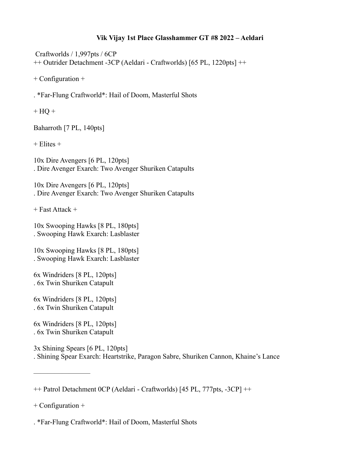## **Vik Vijay 1st Place Glasshammer GT #8 2022 – Aeldari**

 Craftworlds / 1,997pts / 6CP ++ Outrider Detachment -3CP (Aeldari - Craftworlds) [65 PL, 1220pts] ++

+ Configuration +

. \*Far-Flung Craftworld\*: Hail of Doom, Masterful Shots

 $+ HO +$ 

Baharroth [7 PL, 140pts]

 $+$  Elites  $+$ 

10x Dire Avengers [6 PL, 120pts] . Dire Avenger Exarch: Two Avenger Shuriken Catapults

10x Dire Avengers [6 PL, 120pts] . Dire Avenger Exarch: Two Avenger Shuriken Catapults

+ Fast Attack +

10x Swooping Hawks [8 PL, 180pts] . Swooping Hawk Exarch: Lasblaster

10x Swooping Hawks [8 PL, 180pts] . Swooping Hawk Exarch: Lasblaster

6x Windriders [8 PL, 120pts] . 6x Twin Shuriken Catapult

6x Windriders [8 PL, 120pts] . 6x Twin Shuriken Catapult

6x Windriders [8 PL, 120pts] . 6x Twin Shuriken Catapult

3x Shining Spears [6 PL, 120pts] . Shining Spear Exarch: Heartstrike, Paragon Sabre, Shuriken Cannon, Khaine's Lance

+ Configuration +

————————

. \*Far-Flung Craftworld\*: Hail of Doom, Masterful Shots

<sup>++</sup> Patrol Detachment 0CP (Aeldari - Craftworlds) [45 PL, 777pts, -3CP] ++